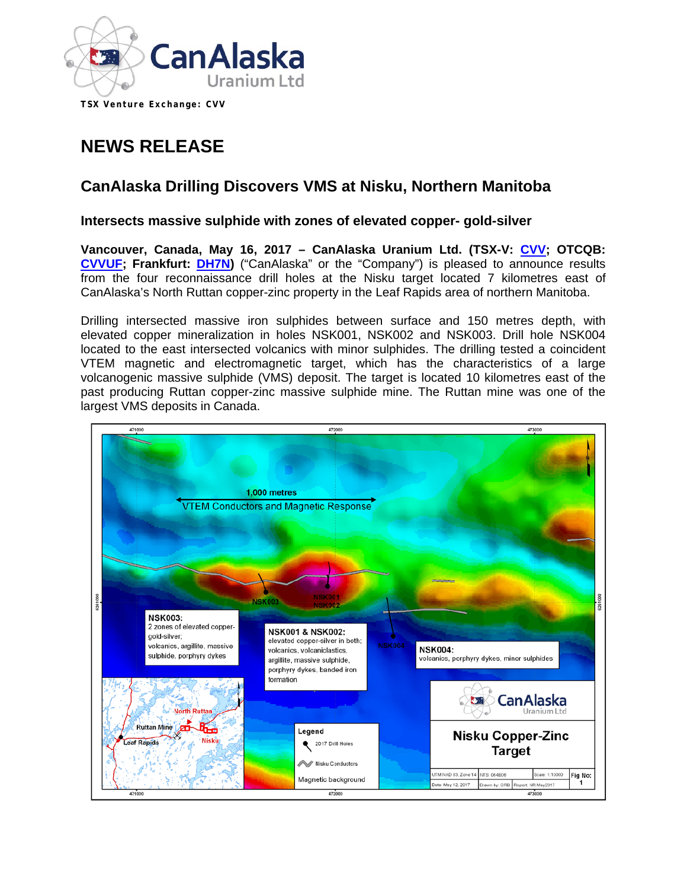

**TSX Venture Exchange: CVV** 

# **NEWS RELEASE**

## **CanAlaska Drilling Discovers VMS at Nisku, Northern Manitoba**

#### **Intersects massive sulphide with zones of elevated copper- gold-silver**

**Vancouver, Canada, May 16, 2017 – CanAlaska Uranium Ltd. (TSX-V: [CVV;](http://www.canalaska.com/s/StockInfo.asp) OTCQB: [CVVUF;](http://www.canalaska.com/s/StockInfo.asp) Frankfurt: [DH7N\)](http://www.canalaska.com/s/StockInfo.asp)** ("CanAlaska" or the "Company") is pleased to announce results from the four reconnaissance drill holes at the Nisku target located 7 kilometres east of CanAlaska's North Ruttan copper-zinc property in the Leaf Rapids area of northern Manitoba.

Drilling intersected massive iron sulphides between surface and 150 metres depth, with elevated copper mineralization in holes NSK001, NSK002 and NSK003. Drill hole NSK004 located to the east intersected volcanics with minor sulphides. The drilling tested a coincident VTEM magnetic and electromagnetic target, which has the characteristics of a large volcanogenic massive sulphide (VMS) deposit. The target is located 10 kilometres east of the past producing Ruttan copper-zinc massive sulphide mine. The Ruttan mine was one of the largest VMS deposits in Canada.

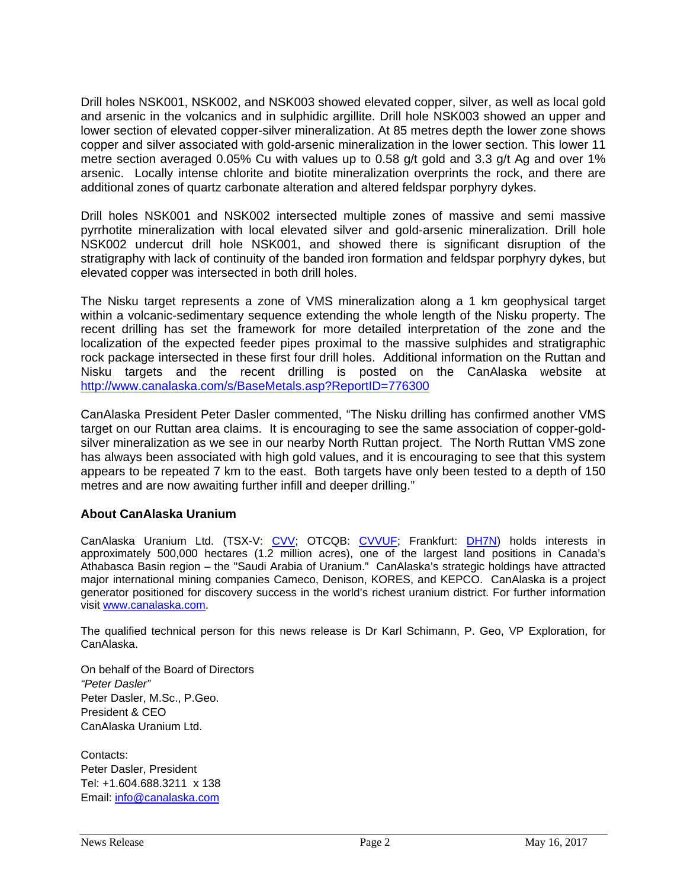Drill holes NSK001, NSK002, and NSK003 showed elevated copper, silver, as well as local gold and arsenic in the volcanics and in sulphidic argillite. Drill hole NSK003 showed an upper and lower section of elevated copper-silver mineralization. At 85 metres depth the lower zone shows copper and silver associated with gold-arsenic mineralization in the lower section. This lower 11 metre section averaged 0.05% Cu with values up to 0.58 g/t gold and 3.3 g/t Ag and over 1% arsenic. Locally intense chlorite and biotite mineralization overprints the rock, and there are additional zones of quartz carbonate alteration and altered feldspar porphyry dykes.

Drill holes NSK001 and NSK002 intersected multiple zones of massive and semi massive pyrrhotite mineralization with local elevated silver and gold-arsenic mineralization. Drill hole NSK002 undercut drill hole NSK001, and showed there is significant disruption of the stratigraphy with lack of continuity of the banded iron formation and feldspar porphyry dykes, but elevated copper was intersected in both drill holes.

The Nisku target represents a zone of VMS mineralization along a 1 km geophysical target within a volcanic-sedimentary sequence extending the whole length of the Nisku property. The recent drilling has set the framework for more detailed interpretation of the zone and the localization of the expected feeder pipes proximal to the massive sulphides and stratigraphic rock package intersected in these first four drill holes. Additional information on the Ruttan and Nisku targets and the recent drilling is posted on the CanAlaska website at <http://www.canalaska.com/s/BaseMetals.asp?ReportID=776300>

CanAlaska President Peter Dasler commented, "The Nisku drilling has confirmed another VMS target on our Ruttan area claims. It is encouraging to see the same association of copper-goldsilver mineralization as we see in our nearby North Ruttan project. The North Ruttan VMS zone has always been associated with high gold values, and it is encouraging to see that this system appears to be repeated 7 km to the east. Both targets have only been tested to a depth of 150 metres and are now awaiting further infill and deeper drilling."

### **About CanAlaska Uranium**

CanAlaska Uranium Ltd. (TSX-V: [CVV;](http://www.canalaska.com/s/StockInfo.asp) OTCQB: [CVVUF;](http://www.canalaska.com/s/StockInfo.asp) Frankfurt: [DH7N\)](http://www.canalaska.com/s/StockInfo.asp) holds interests in approximately 500,000 hectares (1.2 million acres), one of the largest land positions in Canada's Athabasca Basin region – the "Saudi Arabia of Uranium." CanAlaska's strategic holdings have attracted major international mining companies Cameco, Denison, KORES, and KEPCO. CanAlaska is a project generator positioned for discovery success in the world's richest uranium district. For further information visit [www.canalaska.com.](http://www.canalaska.com/)

The qualified technical person for this news release is Dr Karl Schimann, P. Geo, VP Exploration, for CanAlaska.

On behalf of the Board of Directors *"Peter Dasler"* Peter Dasler, M.Sc., P.Geo. President & CEO CanAlaska Uranium Ltd.

Contacts: Peter Dasler, President Tel: +1.604.688.3211 x 138 Email: [info@canalaska.com](mailto:info@canalaska.com)